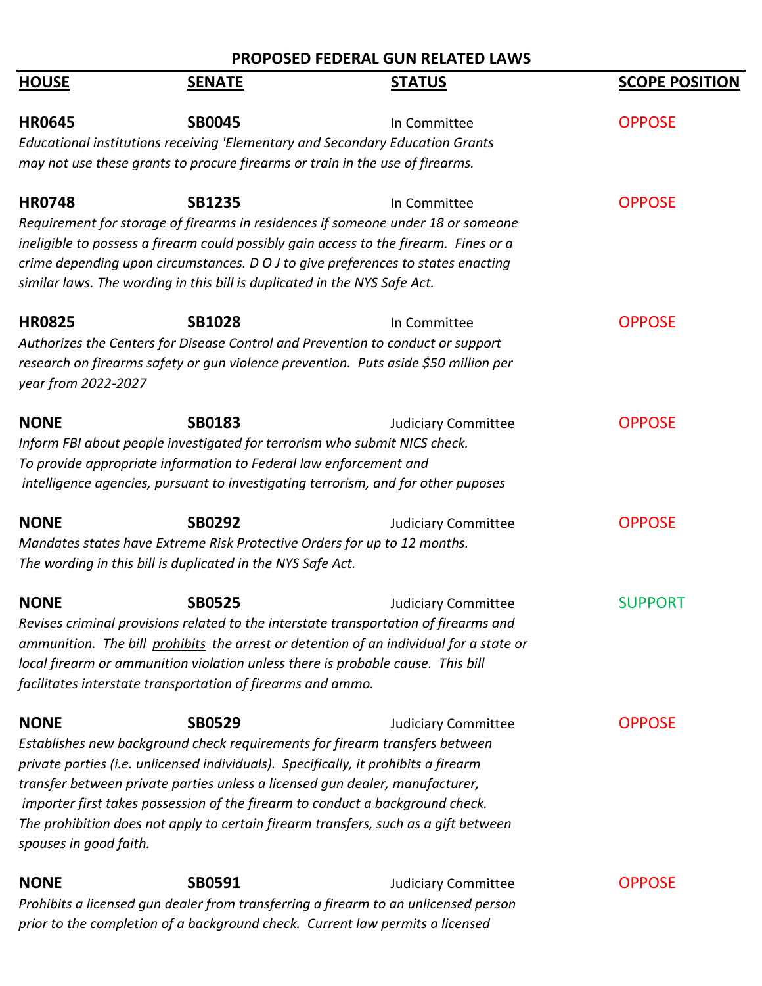|                        |                                                                                     | PROPOSED FEDERAL GUN RELATED LAWS                                                      |                       |
|------------------------|-------------------------------------------------------------------------------------|----------------------------------------------------------------------------------------|-----------------------|
| <b>HOUSE</b>           | <b>SENATE</b>                                                                       | <b>STATUS</b>                                                                          | <b>SCOPE POSITION</b> |
| <b>HR0645</b>          | <b>SB0045</b>                                                                       | In Committee                                                                           | <b>OPPOSE</b>         |
|                        | Educational institutions receiving 'Elementary and Secondary Education Grants       |                                                                                        |                       |
|                        | may not use these grants to procure firearms or train in the use of firearms.       |                                                                                        |                       |
| <b>HR0748</b>          | <b>SB1235</b>                                                                       | In Committee                                                                           | <b>OPPOSE</b>         |
|                        |                                                                                     | Requirement for storage of firearms in residences if someone under 18 or someone       |                       |
|                        |                                                                                     | ineligible to possess a firearm could possibly gain access to the firearm. Fines or a  |                       |
|                        |                                                                                     | crime depending upon circumstances. D O J to give preferences to states enacting       |                       |
|                        | similar laws. The wording in this bill is duplicated in the NYS Safe Act.           |                                                                                        |                       |
| <b>HR0825</b>          | <b>SB1028</b>                                                                       | In Committee                                                                           | <b>OPPOSE</b>         |
|                        | Authorizes the Centers for Disease Control and Prevention to conduct or support     |                                                                                        |                       |
|                        |                                                                                     | research on firearms safety or qun violence prevention. Puts aside \$50 million per    |                       |
| year from 2022-2027    |                                                                                     |                                                                                        |                       |
| <b>NONE</b>            | <b>SB0183</b>                                                                       | <b>Judiciary Committee</b>                                                             | <b>OPPOSE</b>         |
|                        | Inform FBI about people investigated for terrorism who submit NICS check.           |                                                                                        |                       |
|                        | To provide appropriate information to Federal law enforcement and                   |                                                                                        |                       |
|                        |                                                                                     | intelligence agencies, pursuant to investigating terrorism, and for other puposes      |                       |
| <b>NONE</b>            | <b>SB0292</b>                                                                       | <b>Judiciary Committee</b>                                                             | <b>OPPOSE</b>         |
|                        | Mandates states have Extreme Risk Protective Orders for up to 12 months.            |                                                                                        |                       |
|                        | The wording in this bill is duplicated in the NYS Safe Act.                         |                                                                                        |                       |
| <b>NONE</b>            | <b>SB0525</b>                                                                       | <b>Judiciary Committee</b>                                                             | <b>SUPPORT</b>        |
|                        |                                                                                     | Revises criminal provisions related to the interstate transportation of firearms and   |                       |
|                        |                                                                                     | ammunition. The bill prohibits the arrest or detention of an individual for a state or |                       |
|                        | local firearm or ammunition violation unless there is probable cause. This bill     |                                                                                        |                       |
|                        | facilitates interstate transportation of firearms and ammo.                         |                                                                                        |                       |
| <b>NONE</b>            | <b>SB0529</b>                                                                       | <b>Judiciary Committee</b>                                                             | <b>OPPOSE</b>         |
|                        | Establishes new background check requirements for firearm transfers between         |                                                                                        |                       |
|                        | private parties (i.e. unlicensed individuals). Specifically, it prohibits a firearm |                                                                                        |                       |
|                        | transfer between private parties unless a licensed gun dealer, manufacturer,        |                                                                                        |                       |
|                        | importer first takes possession of the firearm to conduct a background check.       |                                                                                        |                       |
|                        |                                                                                     | The prohibition does not apply to certain firearm transfers, such as a gift between    |                       |
| spouses in good faith. |                                                                                     |                                                                                        |                       |
| <b>NONE</b>            | <b>SB0591</b>                                                                       | <b>Judiciary Committee</b>                                                             | <b>OPPOSE</b>         |
|                        |                                                                                     | Prohibits a licensed gun dealer from transferring a firearm to an unlicensed person    |                       |
|                        | prior to the completion of a background check. Current law permits a licensed       |                                                                                        |                       |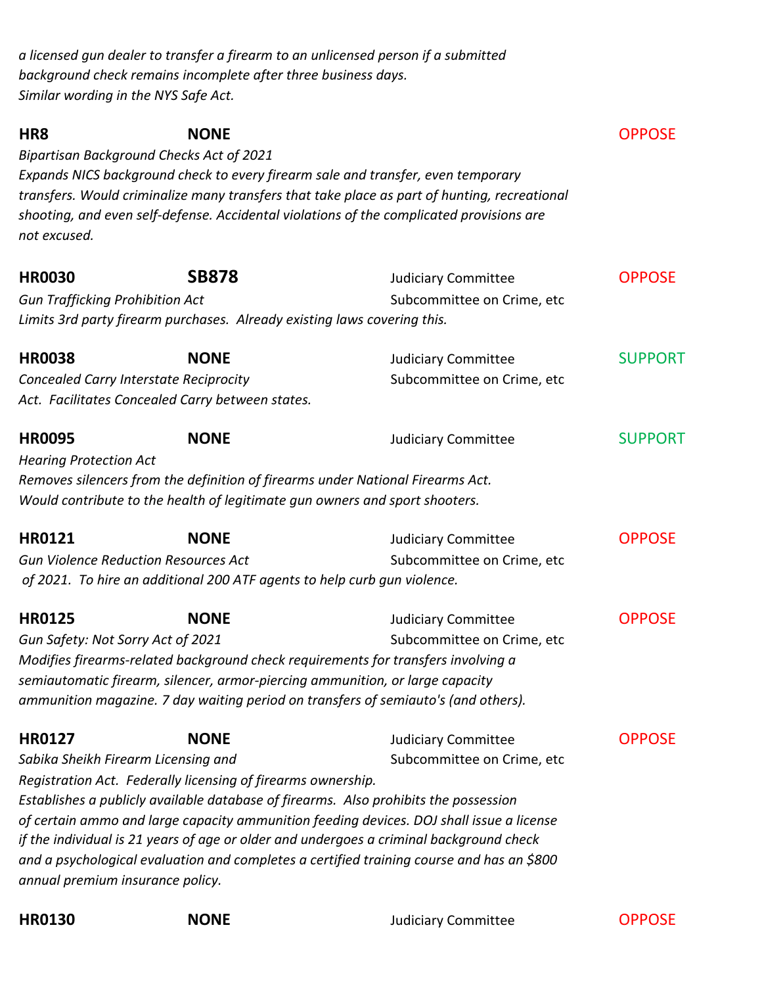*a licensed gun dealer to transfer a firearm to an unlicensed person if a submitted background check remains incomplete after three business days. Similar wording in the NYS Safe Act.*

| HR <sub>8</sub><br><b>Bipartisan Background Checks Act of 2021</b><br>not excused.       | <b>NONE</b>                                                                 | Expands NICS background check to every firearm sale and transfer, even temporary<br>transfers. Would criminalize many transfers that take place as part of hunting, recreational<br>shooting, and even self-defense. Accidental violations of the complicated provisions are                                                                                                                                                         | <b>OPPOSE</b>  |
|------------------------------------------------------------------------------------------|-----------------------------------------------------------------------------|--------------------------------------------------------------------------------------------------------------------------------------------------------------------------------------------------------------------------------------------------------------------------------------------------------------------------------------------------------------------------------------------------------------------------------------|----------------|
| <b>HR0030</b>                                                                            | <b>SB878</b>                                                                | <b>Judiciary Committee</b>                                                                                                                                                                                                                                                                                                                                                                                                           | <b>OPPOSE</b>  |
| <b>Gun Trafficking Prohibition Act</b>                                                   | Limits 3rd party firearm purchases. Already existing laws covering this.    | Subcommittee on Crime, etc                                                                                                                                                                                                                                                                                                                                                                                                           |                |
| <b>HR0038</b>                                                                            | <b>NONE</b>                                                                 | <b>Judiciary Committee</b>                                                                                                                                                                                                                                                                                                                                                                                                           | <b>SUPPORT</b> |
| Concealed Carry Interstate Reciprocity                                                   | Act. Facilitates Concealed Carry between states.                            | Subcommittee on Crime, etc                                                                                                                                                                                                                                                                                                                                                                                                           |                |
| <b>HR0095</b>                                                                            | <b>NONE</b>                                                                 | <b>Judiciary Committee</b>                                                                                                                                                                                                                                                                                                                                                                                                           | <b>SUPPORT</b> |
| <b>Hearing Protection Act</b>                                                            | Would contribute to the health of legitimate gun owners and sport shooters. | Removes silencers from the definition of firearms under National Firearms Act.                                                                                                                                                                                                                                                                                                                                                       |                |
| <b>HR0121</b>                                                                            | <b>NONE</b>                                                                 | <b>Judiciary Committee</b>                                                                                                                                                                                                                                                                                                                                                                                                           | <b>OPPOSE</b>  |
| <b>Gun Violence Reduction Resources Act</b>                                              | of 2021. To hire an additional 200 ATF agents to help curb gun violence.    | Subcommittee on Crime, etc                                                                                                                                                                                                                                                                                                                                                                                                           |                |
| <b>HR0125</b><br>Gun Safety: Not Sorry Act of 2021                                       | <b>NONE</b>                                                                 | <b>Judiciary Committee</b><br>Subcommittee on Crime, etc<br>Modifies firearms-related background check requirements for transfers involving a<br>semiautomatic firearm, silencer, armor-piercing ammunition, or large capacity<br>ammunition magazine. 7 day waiting period on transfers of semiauto's (and others).                                                                                                                 | <b>OPPOSE</b>  |
| <b>HR0127</b><br>Sabika Sheikh Firearm Licensing and<br>annual premium insurance policy. | <b>NONE</b><br>Registration Act. Federally licensing of firearms ownership. | <b>Judiciary Committee</b><br>Subcommittee on Crime, etc<br>Establishes a publicly available database of firearms. Also prohibits the possession<br>of certain ammo and large capacity ammunition feeding devices. DOJ shall issue a license<br>if the individual is 21 years of age or older and undergoes a criminal background check<br>and a psychological evaluation and completes a certified training course and has an \$800 | <b>OPPOSE</b>  |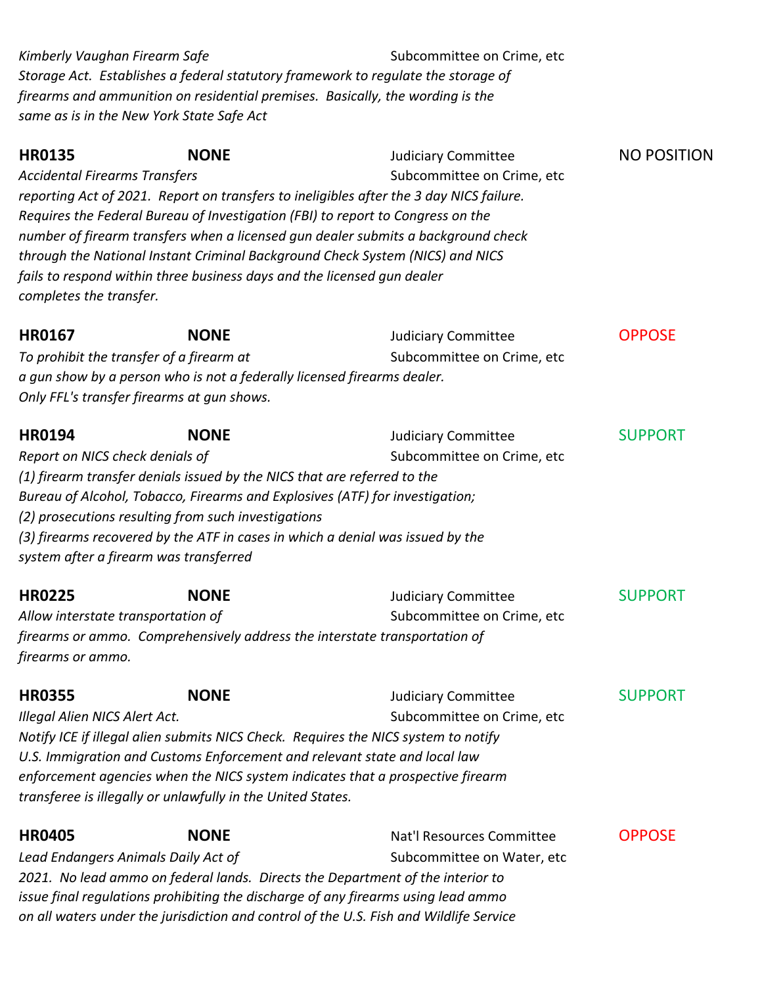*Storage Act. Establishes a federal statutory framework to regulate the storage of firearms and ammunition on residential premises. Basically, the wording is the same as is in the New York State Safe Act Kimberly Vaughan Firearm Safe* entity and the Subcommittee on Crime, etc.

| <b>HR0135</b>                        | <b>NONE</b>                                                                     | <b>Judiciary Committee</b>                                                              | <b>NO POSITION</b> |
|--------------------------------------|---------------------------------------------------------------------------------|-----------------------------------------------------------------------------------------|--------------------|
| <b>Accidental Firearms Transfers</b> |                                                                                 | Subcommittee on Crime, etc                                                              |                    |
|                                      |                                                                                 | reporting Act of 2021. Report on transfers to ineligibles after the 3 day NICS failure. |                    |
|                                      | Requires the Federal Bureau of Investigation (FBI) to report to Congress on the |                                                                                         |                    |
|                                      |                                                                                 | number of firearm transfers when a licensed gun dealer submits a background check       |                    |
|                                      |                                                                                 | through the National Instant Criminal Background Check System (NICS) and NICS           |                    |
|                                      | fails to respond within three business days and the licensed gun dealer         |                                                                                         |                    |
| completes the transfer.              |                                                                                 |                                                                                         |                    |
| <b>HR0167</b>                        | <b>NONE</b>                                                                     | <b>Judiciary Committee</b>                                                              | <b>OPPOSE</b>      |
|                                      | To prohibit the transfer of a firearm at                                        | Subcommittee on Crime, etc                                                              |                    |
|                                      | a gun show by a person who is not a federally licensed firearms dealer.         |                                                                                         |                    |
|                                      | Only FFL's transfer firearms at gun shows.                                      |                                                                                         |                    |
| <b>HR0194</b>                        | <b>NONE</b>                                                                     | <b>Judiciary Committee</b>                                                              | <b>SUPPORT</b>     |
| Report on NICS check denials of      |                                                                                 | Subcommittee on Crime, etc                                                              |                    |
|                                      | (1) firearm transfer denials issued by the NICS that are referred to the        |                                                                                         |                    |
|                                      | Bureau of Alcohol, Tobacco, Firearms and Explosives (ATF) for investigation;    |                                                                                         |                    |
|                                      | (2) prosecutions resulting from such investigations                             |                                                                                         |                    |
|                                      | (3) firearms recovered by the ATF in cases in which a denial was issued by the  |                                                                                         |                    |
|                                      | system after a firearm was transferred                                          |                                                                                         |                    |
| <b>HR0225</b>                        | <b>NONE</b>                                                                     | <b>Judiciary Committee</b>                                                              | <b>SUPPORT</b>     |
| Allow interstate transportation of   |                                                                                 | Subcommittee on Crime, etc                                                              |                    |
|                                      | firearms or ammo. Comprehensively address the interstate transportation of      |                                                                                         |                    |
| firearms or ammo.                    |                                                                                 |                                                                                         |                    |
| <b>HR0355</b>                        | <b>NONE</b>                                                                     | <b>Judiciary Committee</b>                                                              | <b>SUPPORT</b>     |
| Illegal Alien NICS Alert Act.        |                                                                                 | Subcommittee on Crime, etc                                                              |                    |
|                                      |                                                                                 | Notify ICE if illegal alien submits NICS Check. Requires the NICS system to notify      |                    |
|                                      | U.S. Immigration and Customs Enforcement and relevant state and local law       |                                                                                         |                    |
|                                      |                                                                                 | enforcement agencies when the NICS system indicates that a prospective firearm          |                    |
|                                      | transferee is illegally or unlawfully in the United States.                     |                                                                                         |                    |
| <b>HR0405</b>                        | <b>NONE</b>                                                                     | Nat'l Resources Committee                                                               | <b>OPPOSE</b>      |
|                                      | Lead Endangers Animals Daily Act of                                             | Subcommittee on Water, etc                                                              |                    |
|                                      |                                                                                 | 2021. No lead ammo on federal lands. Directs the Department of the interior to          |                    |
|                                      |                                                                                 | issue final regulations prohibiting the discharge of any firearms using lead ammo       |                    |

*on all waters under the jurisdiction and control of the U.S. Fish and Wildlife Service*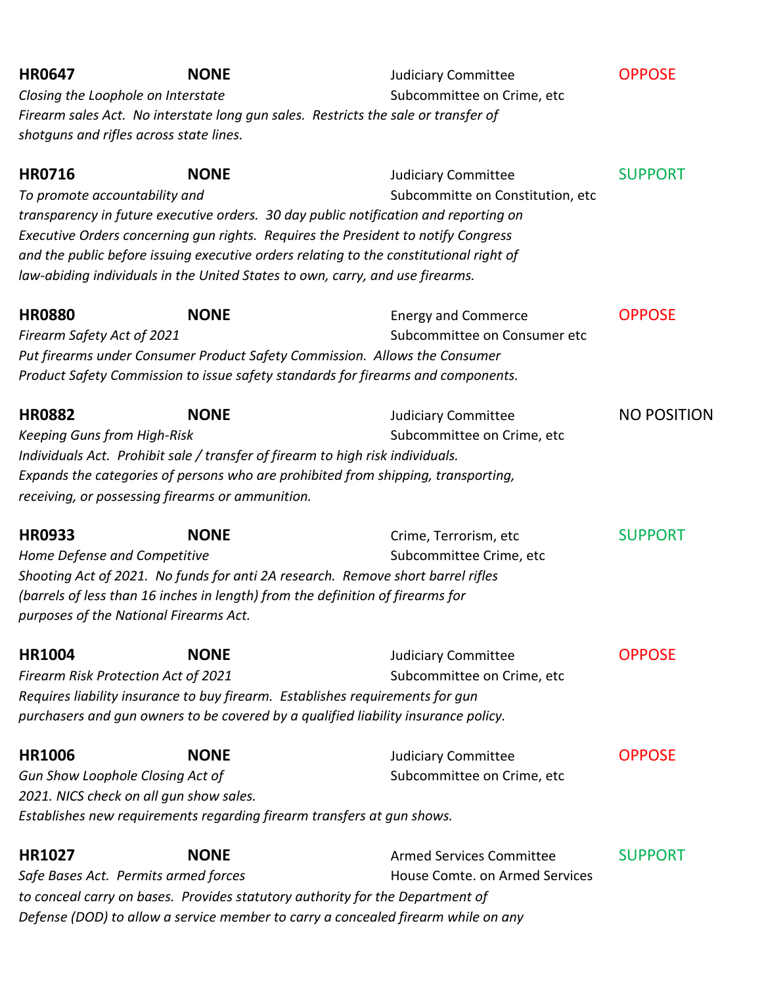| <b>HR0647</b>                                       | <b>NONE</b><br>Closing the Loophole on Interstate<br>Firearm sales Act. No interstate long gun sales. Restricts the sale or transfer of<br>shotguns and rifles across state lines.                                         | <b>Judiciary Committee</b><br>Subcommittee on Crime, etc                                                                                                                                                                                                                                                                              | <b>OPPOSE</b>      |
|-----------------------------------------------------|----------------------------------------------------------------------------------------------------------------------------------------------------------------------------------------------------------------------------|---------------------------------------------------------------------------------------------------------------------------------------------------------------------------------------------------------------------------------------------------------------------------------------------------------------------------------------|--------------------|
| <b>HR0716</b><br>To promote accountability and      | <b>NONE</b><br>law-abiding individuals in the United States to own, carry, and use firearms.                                                                                                                               | <b>Judiciary Committee</b><br>Subcommitte on Constitution, etc<br>transparency in future executive orders. 30 day public notification and reporting on<br>Executive Orders concerning gun rights. Requires the President to notify Congress<br>and the public before issuing executive orders relating to the constitutional right of | <b>SUPPORT</b>     |
| <b>HR0880</b><br>Firearm Safety Act of 2021         | <b>NONE</b>                                                                                                                                                                                                                | <b>Energy and Commerce</b><br>Subcommittee on Consumer etc<br>Put firearms under Consumer Product Safety Commission. Allows the Consumer<br>Product Safety Commission to issue safety standards for firearms and components.                                                                                                          | <b>OPPOSE</b>      |
| <b>HR0882</b><br><b>Keeping Guns from High-Risk</b> | <b>NONE</b><br>Individuals Act. Prohibit sale / transfer of firearm to high risk individuals.<br>receiving, or possessing firearms or ammunition.                                                                          | <b>Judiciary Committee</b><br>Subcommittee on Crime, etc<br>Expands the categories of persons who are prohibited from shipping, transporting,                                                                                                                                                                                         | <b>NO POSITION</b> |
| <b>HR0933</b><br>Home Defense and Competitive       | <b>NONE</b><br>Shooting Act of 2021. No funds for anti 2A research. Remove short barrel rifles<br>(barrels of less than 16 inches in length) from the definition of firearms for<br>purposes of the National Firearms Act. | Crime, Terrorism, etc<br>Subcommittee Crime, etc                                                                                                                                                                                                                                                                                      | <b>SUPPORT</b>     |
| <b>HR1004</b>                                       | <b>NONE</b><br>Firearm Risk Protection Act of 2021<br>Requires liability insurance to buy firearm. Establishes requirements for gun                                                                                        | <b>Judiciary Committee</b><br>Subcommittee on Crime, etc<br>purchasers and gun owners to be covered by a qualified liability insurance policy.                                                                                                                                                                                        | <b>OPPOSE</b>      |
| <b>HR1006</b>                                       | <b>NONE</b><br>Gun Show Loophole Closing Act of<br>2021. NICS check on all gun show sales.<br>Establishes new requirements regarding firearm transfers at gun shows.                                                       | <b>Judiciary Committee</b><br>Subcommittee on Crime, etc                                                                                                                                                                                                                                                                              | <b>OPPOSE</b>      |
| <b>HR1027</b>                                       | <b>NONE</b><br>Safe Bases Act. Permits armed forces<br>to conceal carry on bases. Provides statutory authority for the Department of                                                                                       | <b>Armed Services Committee</b><br>House Comte. on Armed Services<br>Defense (DOD) to allow a service member to carry a concealed firearm while on any                                                                                                                                                                                | <b>SUPPORT</b>     |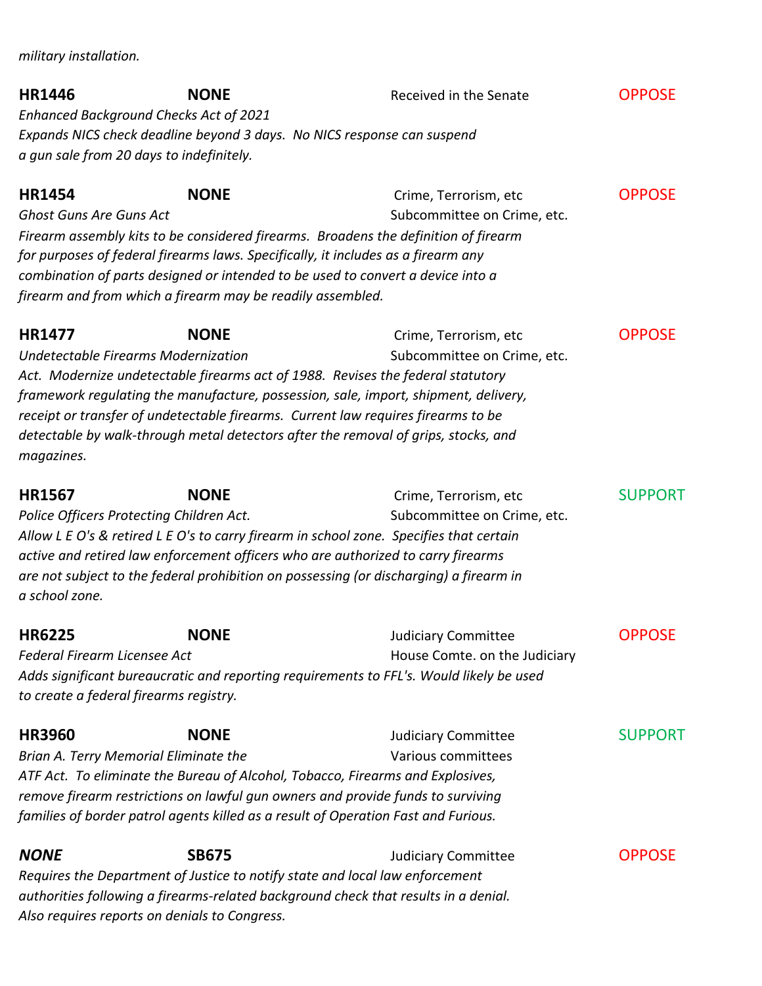*military installation.* 

| <b>HR1446</b><br><b>Enhanced Background Checks Act of 2021</b><br>a gun sale from 20 days to indefinitely. | <b>NONE</b><br>Expands NICS check deadline beyond 3 days. No NICS response can suspend                                                                                                                                                                                                                                                                           | Received in the Senate                                      | <b>OPPOSE</b>  |
|------------------------------------------------------------------------------------------------------------|------------------------------------------------------------------------------------------------------------------------------------------------------------------------------------------------------------------------------------------------------------------------------------------------------------------------------------------------------------------|-------------------------------------------------------------|----------------|
| <b>HR1454</b><br><b>Ghost Guns Are Guns Act</b>                                                            | <b>NONE</b><br>Firearm assembly kits to be considered firearms. Broadens the definition of firearm<br>for purposes of federal firearms laws. Specifically, it includes as a firearm any<br>combination of parts designed or intended to be used to convert a device into a<br>firearm and from which a firearm may be readily assembled.                         | Crime, Terrorism, etc<br>Subcommittee on Crime, etc.        | <b>OPPOSE</b>  |
| <b>HR1477</b><br>Undetectable Firearms Modernization<br>magazines.                                         | <b>NONE</b><br>Act. Modernize undetectable firearms act of 1988. Revises the federal statutory<br>framework regulating the manufacture, possession, sale, import, shipment, delivery,<br>receipt or transfer of undetectable firearms. Current law requires firearms to be<br>detectable by walk-through metal detectors after the removal of grips, stocks, and | Crime, Terrorism, etc<br>Subcommittee on Crime, etc.        | <b>OPPOSE</b>  |
| <b>HR1567</b><br>Police Officers Protecting Children Act.<br>a school zone.                                | <b>NONE</b><br>Allow L E O's & retired L E O's to carry firearm in school zone. Specifies that certain<br>active and retired law enforcement officers who are authorized to carry firearms<br>are not subject to the federal prohibition on possessing (or discharging) a firearm in                                                                             | Crime, Terrorism, etc<br>Subcommittee on Crime, etc.        | <b>SUPPORT</b> |
| <b>HR6225</b><br><b>Federal Firearm Licensee Act</b><br>to create a federal firearms registry.             | <b>NONE</b><br>Adds significant bureaucratic and reporting requirements to FFL's. Would likely be used                                                                                                                                                                                                                                                           | <b>Judiciary Committee</b><br>House Comte. on the Judiciary | <b>OPPOSE</b>  |
| <b>HR3960</b><br>Brian A. Terry Memorial Eliminate the                                                     | <b>NONE</b><br>ATF Act. To eliminate the Bureau of Alcohol, Tobacco, Firearms and Explosives,<br>remove firearm restrictions on lawful gun owners and provide funds to surviving<br>families of border patrol agents killed as a result of Operation Fast and Furious.                                                                                           | <b>Judiciary Committee</b><br>Various committees            | <b>SUPPORT</b> |
| <b>NONE</b><br>Also requires reports on denials to Congress.                                               | <b>SB675</b><br>Requires the Department of Justice to notify state and local law enforcement<br>authorities following a firearms-related background check that results in a denial.                                                                                                                                                                              | <b>Judiciary Committee</b>                                  | <b>OPPOSE</b>  |